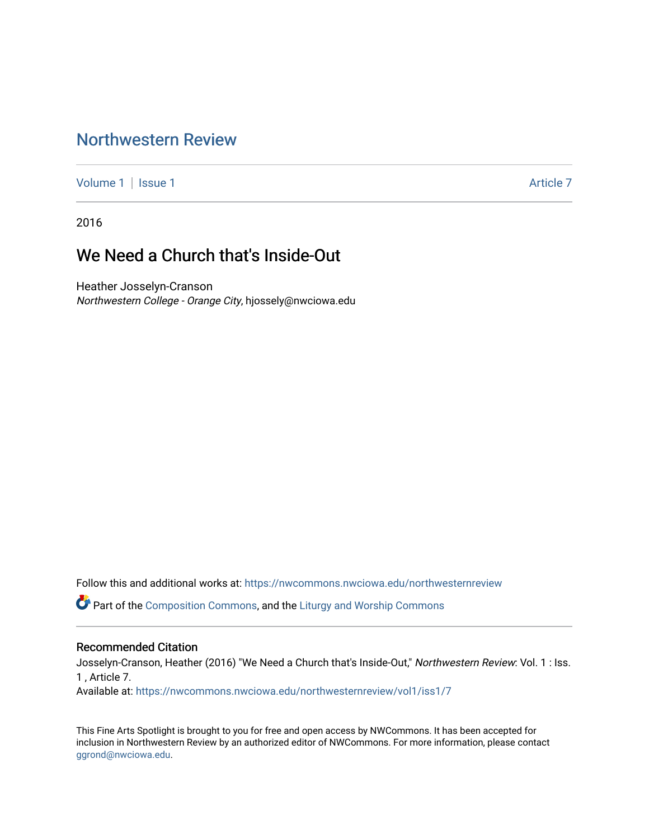## [Northwestern Review](https://nwcommons.nwciowa.edu/northwesternreview)

[Volume 1](https://nwcommons.nwciowa.edu/northwesternreview/vol1) | [Issue 1](https://nwcommons.nwciowa.edu/northwesternreview/vol1/iss1) Article 7

2016

## We Need a Church that's Inside-Out

Heather Josselyn-Cranson Northwestern College - Orange City, hjossely@nwciowa.edu

Follow this and additional works at: [https://nwcommons.nwciowa.edu/northwesternreview](https://nwcommons.nwciowa.edu/northwesternreview?utm_source=nwcommons.nwciowa.edu%2Fnorthwesternreview%2Fvol1%2Fiss1%2F7&utm_medium=PDF&utm_campaign=PDFCoverPages) 

Part of the [Composition Commons,](http://network.bepress.com/hgg/discipline/519?utm_source=nwcommons.nwciowa.edu%2Fnorthwesternreview%2Fvol1%2Fiss1%2F7&utm_medium=PDF&utm_campaign=PDFCoverPages) and the [Liturgy and Worship Commons](http://network.bepress.com/hgg/discipline/1188?utm_source=nwcommons.nwciowa.edu%2Fnorthwesternreview%2Fvol1%2Fiss1%2F7&utm_medium=PDF&utm_campaign=PDFCoverPages) 

#### Recommended Citation

Josselyn-Cranson, Heather (2016) "We Need a Church that's Inside-Out," Northwestern Review: Vol. 1 : Iss. 1 , Article 7.

Available at: [https://nwcommons.nwciowa.edu/northwesternreview/vol1/iss1/7](https://nwcommons.nwciowa.edu/northwesternreview/vol1/iss1/7?utm_source=nwcommons.nwciowa.edu%2Fnorthwesternreview%2Fvol1%2Fiss1%2F7&utm_medium=PDF&utm_campaign=PDFCoverPages)

This Fine Arts Spotlight is brought to you for free and open access by NWCommons. It has been accepted for inclusion in Northwestern Review by an authorized editor of NWCommons. For more information, please contact [ggrond@nwciowa.edu.](mailto:ggrond@nwciowa.edu)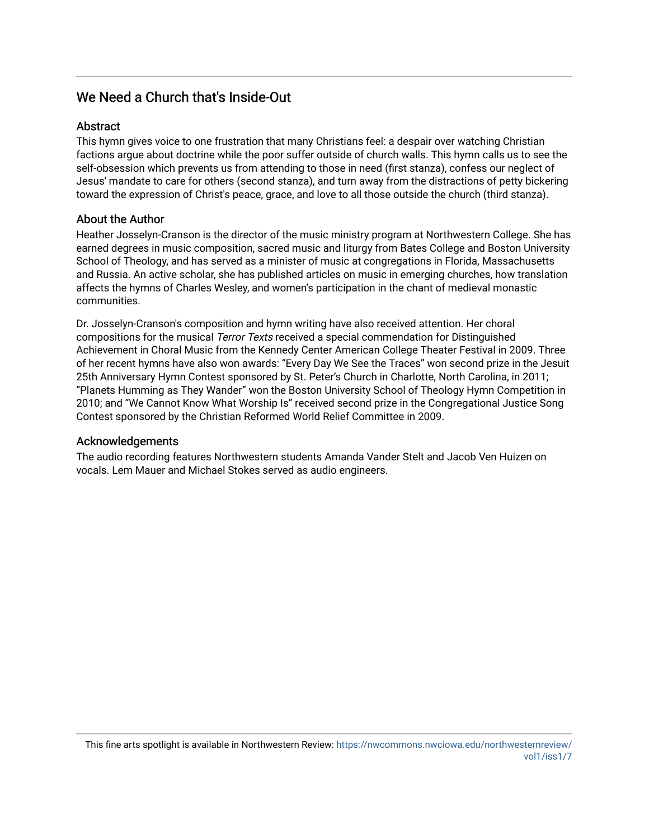### We Need a Church that's Inside-Out

#### Abstract

This hymn gives voice to one frustration that many Christians feel: a despair over watching Christian factions argue about doctrine while the poor suffer outside of church walls. This hymn calls us to see the self-obsession which prevents us from attending to those in need (first stanza), confess our neglect of Jesus' mandate to care for others (second stanza), and turn away from the distractions of petty bickering toward the expression of Christ's peace, grace, and love to all those outside the church (third stanza).

#### About the Author

Heather Josselyn-Cranson is the director of the music ministry program at Northwestern College. She has earned degrees in music composition, sacred music and liturgy from Bates College and Boston University School of Theology, and has served as a minister of music at congregations in Florida, Massachusetts and Russia. An active scholar, she has published articles on music in emerging churches, how translation affects the hymns of Charles Wesley, and women's participation in the chant of medieval monastic communities.

Dr. Josselyn-Cranson's composition and hymn writing have also received attention. Her choral compositions for the musical Terror Texts received a special commendation for Distinguished Achievement in Choral Music from the Kennedy Center American College Theater Festival in 2009. Three of her recent hymns have also won awards: "Every Day We See the Traces" won second prize in the Jesuit 25th Anniversary Hymn Contest sponsored by St. Peter's Church in Charlotte, North Carolina, in 2011; "Planets Humming as They Wander" won the Boston University School of Theology Hymn Competition in 2010; and "We Cannot Know What Worship Is" received second prize in the Congregational Justice Song Contest sponsored by the Christian Reformed World Relief Committee in 2009.

#### Acknowledgements

The audio recording features Northwestern students Amanda Vander Stelt and Jacob Ven Huizen on vocals. Lem Mauer and Michael Stokes served as audio engineers.